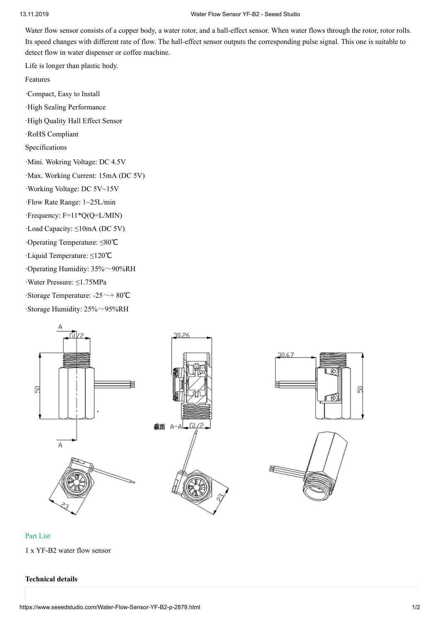### 13.11.2019 Water Flow Sensor YF-B2 - Seeed Studo

Water flow sensor consists of a copper body, a water rotor, and a hall-effect sensor. When water flows through the rotor, rotor rolls. Its speed changes with different rate of flow. The hall-effect sensor outputs the corresponding pulse signal. This one is suitable to detect flow in water dispenser or coffee machine.

Life is longer than plastic body.

Features

·Compact, Easy to Install

·Hgh Sealng Performance

·Hgh Qualty Hall Effect Sensor

·RoHS Complant

Specifications

·Mini. Wokring Voltage: DC 4.5V

·Max. Workng Current: 15mA (DC 5V)

·Workng Voltage: DC 5V~15V

·Flow Rate Range: 1~25L/min

·Frequency: F=11\*Q(Q=L/MIN)

·Load Capacty: ≤10mA (DC 5V)

·Operatng Temperature: ≤80℃

·Lqud Temperature: ≤120℃

·Operating Humidity: 35%~90%RH

·Water Pressure: ≤1.75MPa

·Storage Temperature: -25~+ 80℃

 $\cdot$ Storage Humidity: 25% $\sim$ 95%RH



### Part List

1 x YF-B2 water flow sensor

### **Technical details**

Я